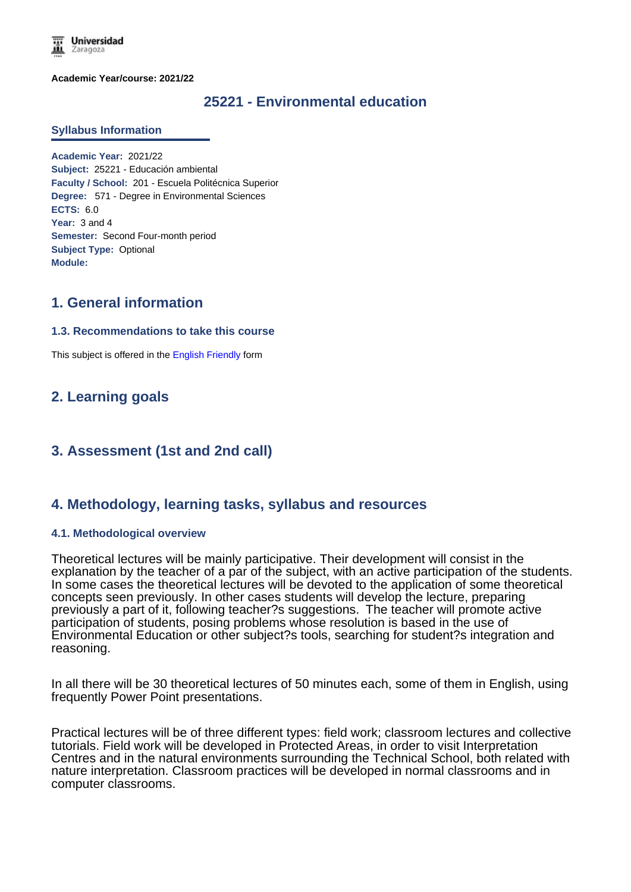**Universidad** Zaragoza

**Academic Year/course: 2021/22**

# **25221 - Environmental education**

#### **Syllabus Information**

**Academic Year:** 2021/22 **Subject:** 25221 - Educación ambiental **Faculty / School:** 201 - Escuela Politécnica Superior **Degree:** 571 - Degree in Environmental Sciences **ECTS:** 6.0 **Year:** 3 and 4 **Semester:** Second Four-month period **Subject Type:** Optional **Module:**

## **1. General information**

#### **1.3. Recommendations to take this course**

This subject is offered in the English Friendly form

## **2. Learning goals**

# **3. Assessment (1st and 2nd call)**

## **4. Methodology, learning tasks, syllabus and resources**

#### **4.1. Methodological overview**

Theoretical lectures will be mainly participative. Their development will consist in the explanation by the teacher of a par of the subject, with an active participation of the students. In some cases the theoretical lectures will be devoted to the application of some theoretical concepts seen previously. In other cases students will develop the lecture, preparing previously a part of it, following teacher?s suggestions. The teacher will promote active participation of students, posing problems whose resolution is based in the use of Environmental Education or other subject?s tools, searching for student?s integration and reasoning.

In all there will be 30 theoretical lectures of 50 minutes each, some of them in English, using frequently Power Point presentations.

Practical lectures will be of three different types: field work; classroom lectures and collective tutorials. Field work will be developed in Protected Areas, in order to visit Interpretation Centres and in the natural environments surrounding the Technical School, both related with nature interpretation. Classroom practices will be developed in normal classrooms and in computer classrooms.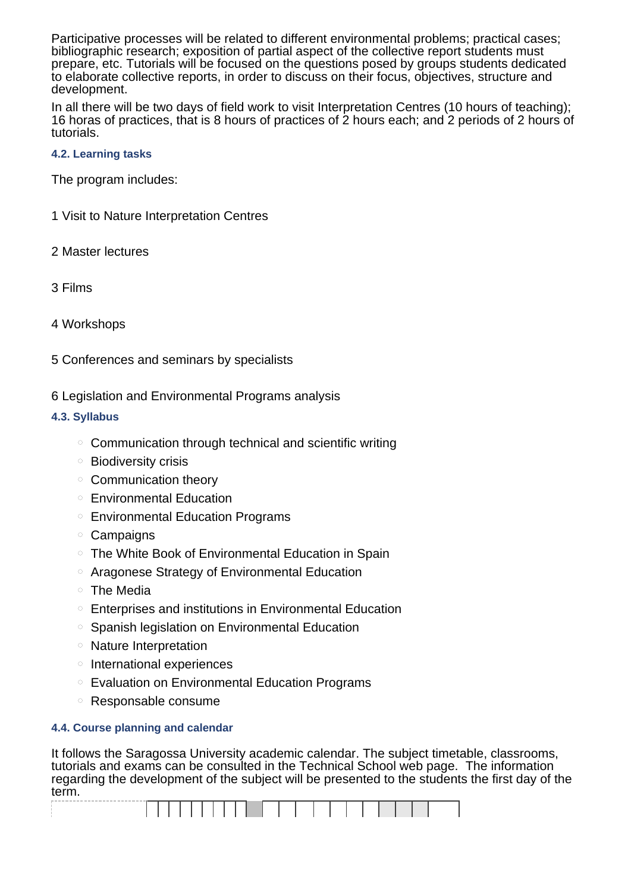Participative processes will be related to different environmental problems; practical cases; bibliographic research; exposition of partial aspect of the collective report students must prepare, etc. Tutorials will be focused on the questions posed by groups students dedicated to elaborate collective reports, in order to discuss on their focus, objectives, structure and development.

In all there will be two days of field work to visit Interpretation Centres (10 hours of teaching); 16 horas of practices, that is 8 hours of practices of 2 hours each; and 2 periods of 2 hours of tutorials.

### **4.2. Learning tasks**

The program includes:

- 1 Visit to Nature Interpretation Centres
- 2 Master lectures
- 3 Films
- 4 Workshops
- 5 Conferences and seminars by specialists
- 6 Legislation and Environmental Programs analysis

## **4.3. Syllabus**

- $\circ$  Communication through technical and scientific writing
- Biodiversity crisis
- Communication theory
- Environmental Education
- Environmental Education Programs
- Campaigns
- The White Book of Environmental Education in Spain
- Aragonese Strategy of Environmental Education
- The Media
- Enterprises and institutions in Environmental Education
- Spanish legislation on Environmental Education
- Nature Interpretation
- $\circ$  International experiences
- Evaluation on Environmental Education Programs
- Responsable consume

## **4.4. Course planning and calendar**

It follows the Saragossa University academic calendar. The subject timetable, classrooms, tutorials and exams can be consulted in the Technical School web page. The information regarding the development of the subject will be presented to the students the first day of the term.

|  |  |  | and the control of the control of | the contract of the contract of the contract of the contract of |  |  |  |  |  |  |  |
|--|--|--|-----------------------------------|-----------------------------------------------------------------|--|--|--|--|--|--|--|
|  |  |  |                                   |                                                                 |  |  |  |  |  |  |  |
|  |  |  |                                   |                                                                 |  |  |  |  |  |  |  |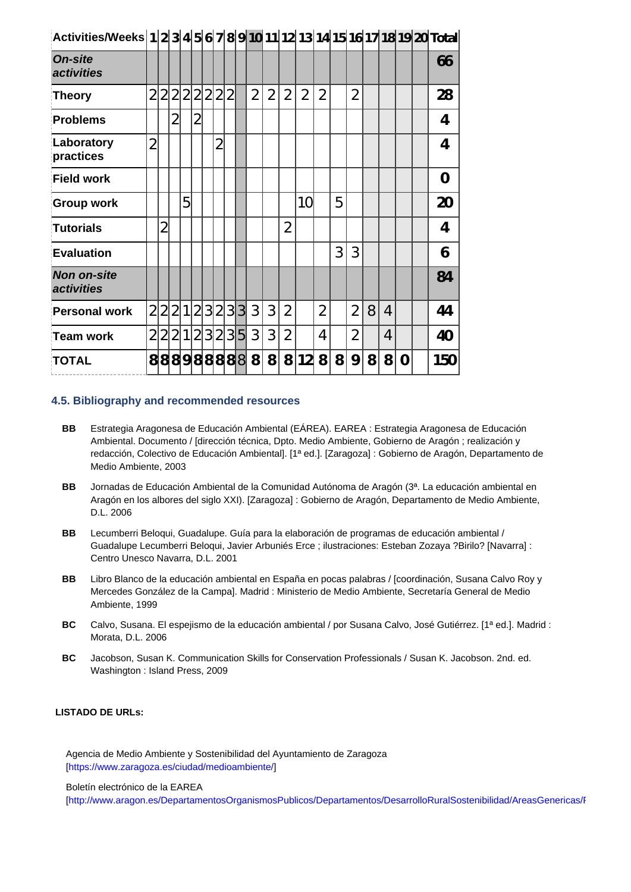| Activities/Weeks 1 2 3 4 5 6 7 8 9 10 11 12 13 14 15 16 17 18 19 20 Total |                |                |                |                |                |                |                |                |                |                |                |                |                |                |   |                |   |                |   |                |
|---------------------------------------------------------------------------|----------------|----------------|----------------|----------------|----------------|----------------|----------------|----------------|----------------|----------------|----------------|----------------|----------------|----------------|---|----------------|---|----------------|---|----------------|
| <b>On-site</b><br>activities                                              |                |                |                |                |                |                |                |                |                |                |                |                |                |                |   |                |   |                |   | 66             |
| Theory                                                                    | 2              | 21             | $\overline{2}$ | $\overline{2}$ | $\overline{2}$ | $\overline{2}$ | $\overline{2}$ | $\overline{2}$ |                | $\overline{2}$ | $\overline{2}$ | $\overline{2}$ | $\overline{2}$ | $\overline{2}$ |   | $\overline{2}$ |   |                |   | 28             |
| <b>Problems</b>                                                           |                |                | $\overline{2}$ |                | $\overline{2}$ |                |                |                |                |                |                |                |                |                |   |                |   |                |   | 4              |
| Laboratory<br>practices                                                   | $\overline{2}$ |                |                |                |                |                | $\overline{2}$ |                |                |                |                |                |                |                |   |                |   |                |   | 4              |
| <b>Field work</b>                                                         |                |                |                |                |                |                |                |                |                |                |                |                |                |                |   |                |   |                |   | $\overline{0}$ |
| <b>Group work</b>                                                         |                |                |                | 5              |                |                |                |                |                |                |                |                | 10             |                | 5 |                |   |                |   | 20             |
| Tutorials                                                                 |                | $\overline{2}$ |                |                |                |                |                |                |                |                |                | $\overline{2}$ |                |                |   |                |   |                |   | 4              |
| <b>Evaluation</b>                                                         |                |                |                |                |                |                |                |                |                |                |                |                |                |                | 3 | 3              |   |                |   | 6              |
| <b>Non on-site</b><br><i><b>activities</b></i>                            |                |                |                |                |                |                |                |                |                |                |                |                |                |                |   |                |   |                |   | 84             |
| <b>Personal work</b>                                                      | $\overline{2}$ |                | 2 2 1          |                |                | 2 3 2          |                | 3 <sup>1</sup> | 3              | 3              | 3              | $\overline{2}$ |                | $\overline{2}$ |   | $\overline{2}$ | 8 | 4              |   | 44             |
| Team work                                                                 | $\overline{2}$ | $\overline{2}$ |                | 2 1            | $\overline{2}$ | 3 <sup>1</sup> | $\overline{2}$ | 3 <sup>1</sup> | 5 <sub>l</sub> | 3              | 3              | $\overline{2}$ |                | 4              |   | $\overline{2}$ |   | $\overline{4}$ |   | 40             |
| <b>TOTAL</b>                                                              | 8              |                |                |                |                |                |                |                | 88988888       | 8              | 8              | 8              | 12             | 8              | 8 | 9              | 8 | 8              | 0 | 150            |

### **4.5. Bibliography and recommended resources**

- **BB** Estrategia Aragonesa de Educación Ambiental (EÁREA). EAREA : Estrategia Aragonesa de Educación Ambiental. Documento / [dirección técnica, Dpto. Medio Ambiente, Gobierno de Aragón ; realización y redacción, Colectivo de Educación Ambiental]. [1ª ed.]. [Zaragoza] : Gobierno de Aragón, Departamento de Medio Ambiente, 2003
- **BB** Jornadas de Educación Ambiental de la Comunidad Autónoma de Aragón (3ª. La educación ambiental en Aragón en los albores del siglo XXI). [Zaragoza] : Gobierno de Aragón, Departamento de Medio Ambiente, D.L. 2006
- **BB** Lecumberri Beloqui, Guadalupe. Guía para la elaboración de programas de educación ambiental / Guadalupe Lecumberri Beloqui, Javier Arbuniés Erce ; ilustraciones: Esteban Zozaya ?Birilo? [Navarra] : Centro Unesco Navarra, D.L. 2001
- **BB** Libro Blanco de la educación ambiental en España en pocas palabras / [coordinación, Susana Calvo Roy y Mercedes González de la Campa]. Madrid : Ministerio de Medio Ambiente, Secretaría General de Medio Ambiente, 1999
- **BC** Calvo, Susana. El espejismo de la educación ambiental / por Susana Calvo, José Gutiérrez. [1ª ed.]. Madrid : Morata, D.L. 2006
- **BC** Jacobson, Susan K. Communication Skills for Conservation Professionals / Susan K. Jacobson. 2nd. ed. Washington : Island Press, 2009

### **LISTADO DE URLs:**

Agencia de Medio Ambiente y Sostenibilidad del Ayuntamiento de Zaragoza [https://www.zaragoza.es/ciudad/medioambiente/]

Boletín electrónico de la EAREA

[http://www.aragon.es/DepartamentosOrganismosPublicos/Departamentos/DesarrolloRuralSostenibilidad/AreasGenericas/F